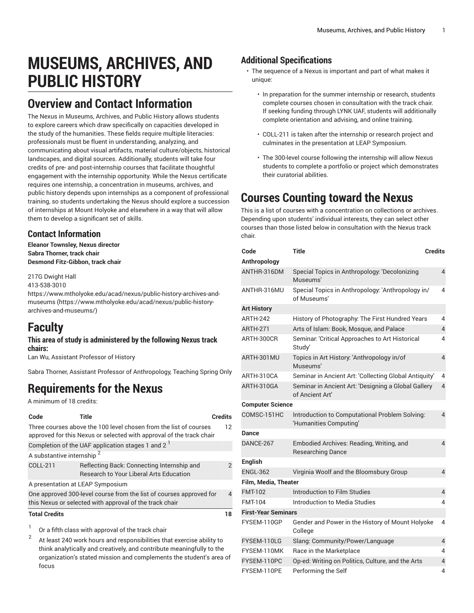# **MUSEUMS, ARCHIVES, AND PUBLIC HISTORY**

### **Overview and Contact Information**

The Nexus in Museums, Archives, and Public History allows students to explore careers which draw specifically on capacities developed in the study of the humanities. These fields require multiple literacies: professionals must be fluent in understanding, analyzing, and communicating about visual artifacts, material culture/objects, historical landscapes, and digital sources. Additionally, students will take four credits of pre- and post-internship courses that facilitate thoughtful engagement with the internship opportunity. While the Nexus certificate requires one internship, a concentration in museums, archives, and public history depends upon internships as a component of professional training, so students undertaking the Nexus should explore a succession of internships at Mount Holyoke and elsewhere in a way that will allow them to develop a significant set of skills.

### **Contact Information**

**Eleanor Townsley, Nexus director Sabra Thorner, track chair Desmond Fitz-Gibbon, track chair**

217G Dwight Hall

413-538-3010

[https://www.mtholyoke.edu/acad/nexus/public-history-archives-and](https://www.mtholyoke.edu/acad/nexus/public-history-archives-and-museums/)[museums \(https://www.mtholyoke.edu/acad/nexus/public-history](https://www.mtholyoke.edu/acad/nexus/public-history-archives-and-museums/)[archives-and-museums/](https://www.mtholyoke.edu/acad/nexus/public-history-archives-and-museums/))

### **Faculty**

#### **This area of study is administered by the following Nexus track chairs:**

Lan Wu, Assistant Professor of History

Sabra Thorner, Assistant Professor of Anthropology, Teaching Spring Only

## **Requirements for the Nexus**

A minimum of 18 credits:

| Code                                                                                                                           | Title                                                                                                                                     | <b>Credits</b> |
|--------------------------------------------------------------------------------------------------------------------------------|-------------------------------------------------------------------------------------------------------------------------------------------|----------------|
|                                                                                                                                | Three courses above the 100 level chosen from the list of courses<br>approved for this Nexus or selected with approval of the track chair | 12             |
|                                                                                                                                | Completion of the UAF application stages 1 and 2 <sup>1</sup>                                                                             |                |
| A substantive internship <sup>2</sup>                                                                                          |                                                                                                                                           |                |
| COLL-211                                                                                                                       | Reflecting Back: Connecting Internship and<br><b>Research to Your Liberal Arts Education</b>                                              | $\mathcal{P}$  |
|                                                                                                                                | A presentation at LEAP Symposium                                                                                                          |                |
| One approved 300-level course from the list of courses approved for<br>this Nexus or selected with approval of the track chair |                                                                                                                                           |                |
| <b>Total Credits</b>                                                                                                           |                                                                                                                                           | 18             |
| л.                                                                                                                             |                                                                                                                                           |                |

1 Or a fifth class with approval of the track chair

2 At least 240 work hours and responsibilities that exercise ability to think analytically and creatively, and contribute meaningfully to the organization's stated mission and complements the student's area of focus

### **Additional Specifications**

- The sequence of a Nexus is important and part of what makes it unique:
	- In preparation for the summer internship or research, students complete courses chosen in consultation with the track chair. If seeking funding through LYNK UAF, students will additionally complete orientation and advising, and online training.
	- COLL-211 is taken after the internship or research project and culminates in the presentation at LEAP Symposium.
	- The 300-level course following the internship will allow Nexus students to complete a portfolio or project which demonstrates their curatorial abilities.

# **Courses Counting toward the Nexus**

This is a list of courses with a concentration on collections or archives. Depending upon students' individual interests, they can select other courses than those listed below in consultation with the Nexus track chair.

| Code                       | <b>Title</b>                                                             | <b>Credits</b> |  |  |
|----------------------------|--------------------------------------------------------------------------|----------------|--|--|
| Anthropology               |                                                                          |                |  |  |
| ANTHR-316DM                | Special Topics in Anthropology: 'Decolonizing<br>Museums'                | 4              |  |  |
| ANTHR-316MU                | Special Topics in Anthropology: 'Anthropology in/<br>of Museums'         | 4              |  |  |
| <b>Art History</b>         |                                                                          |                |  |  |
| <b>ARTH-242</b>            | History of Photography: The First Hundred Years                          | 4              |  |  |
| <b>ARTH-271</b>            | Arts of Islam: Book, Mosque, and Palace                                  | 4              |  |  |
| ARTH-300CR                 | Seminar: 'Critical Approaches to Art Historical<br>Study'                | 4              |  |  |
| ARTH-301MU                 | Topics in Art History: 'Anthropology in/of<br>Museums'                   | 4              |  |  |
| ARTH-310CA                 | Seminar in Ancient Art: 'Collecting Global Antiquity'                    | 4              |  |  |
| ARTH-310GA                 | Seminar in Ancient Art: 'Designing a Global Gallery<br>of Ancient Art'   | 4              |  |  |
| <b>Computer Science</b>    |                                                                          |                |  |  |
| COMSC-151HC                | Introduction to Computational Problem Solving:<br>'Humanities Computing' | 4              |  |  |
| <b>Dance</b>               |                                                                          |                |  |  |
| DANCE-267                  | Embodied Archives: Reading, Writing, and<br><b>Researching Dance</b>     | 4              |  |  |
| <b>English</b>             |                                                                          |                |  |  |
| <b>ENGL-362</b>            | Virginia Woolf and the Bloomsbury Group                                  | 4              |  |  |
| Film, Media, Theater       |                                                                          |                |  |  |
| <b>FMT-102</b>             | Introduction to Film Studies                                             | 4              |  |  |
| <b>FMT-104</b>             | Introduction to Media Studies                                            | 4              |  |  |
| <b>First-Year Seminars</b> |                                                                          |                |  |  |
| FYSEM-110GP                | Gender and Power in the History of Mount Holyoke<br>College              | 4              |  |  |
| FYSEM-110LG                | Slang: Community/Power/Language                                          | 4              |  |  |
| FYSEM-110MK                | Race in the Marketplace                                                  | 4              |  |  |
| FYSEM-110PC                | Op-ed: Writing on Politics, Culture, and the Arts                        | 4              |  |  |
| FYSEM-110PE                | Performing the Self                                                      | 4              |  |  |